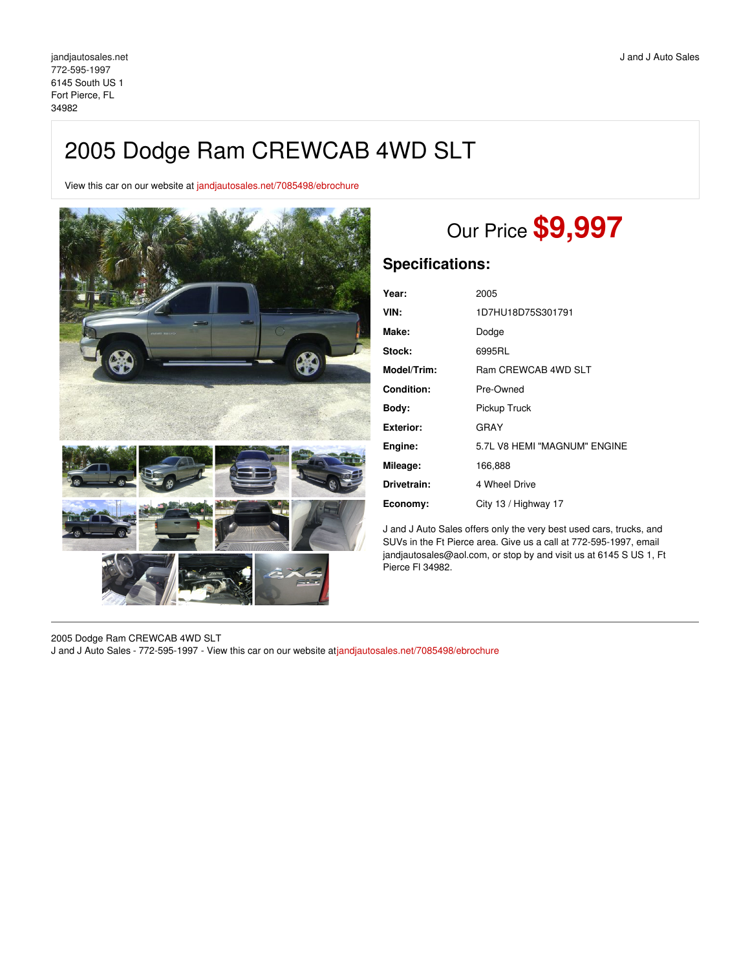## 2005 Dodge Ram CREWCAB 4WD SLT

View this car on our website at [jandjautosales.net/7085498/ebrochure](https://jandjautosales.net/vehicle/7085498/2005-dodge-ram-crewcab-4wd-slt-fort-pierce-fl-34982/7085498/ebrochure)



# Our Price **\$9,997**

### **Specifications:**

| Year:       | 2005                         |
|-------------|------------------------------|
| VIN:        | 1D7HU18D75S301791            |
| Make:       | Dodge                        |
| Stock:      | 6995RL                       |
| Model/Trim: | Ram CREWCAB 4WD SLT          |
| Condition:  | Pre-Owned                    |
| Body:       | Pickup Truck                 |
| Exterior:   | GRAY                         |
| Engine:     | 5.7L V8 HEMI "MAGNUM" ENGINE |
| Mileage:    | 166,888                      |
| Drivetrain: | 4 Wheel Drive                |
| Economy:    | City 13 / Highway 17         |
|             |                              |

J and J Auto Sales offers only the very best used cars, trucks, and SUVs in the Ft Pierce area. Give us a call at 772-595-1997, email jandjautosales@aol.com, or stop by and visit us at 6145 S US 1, Ft Pierce Fl 34982.

2005 Dodge Ram CREWCAB 4WD SLT J and J Auto Sales - 772-595-1997 - View this car on our website at[jandjautosales.net/7085498/ebrochure](https://jandjautosales.net/vehicle/7085498/2005-dodge-ram-crewcab-4wd-slt-fort-pierce-fl-34982/7085498/ebrochure)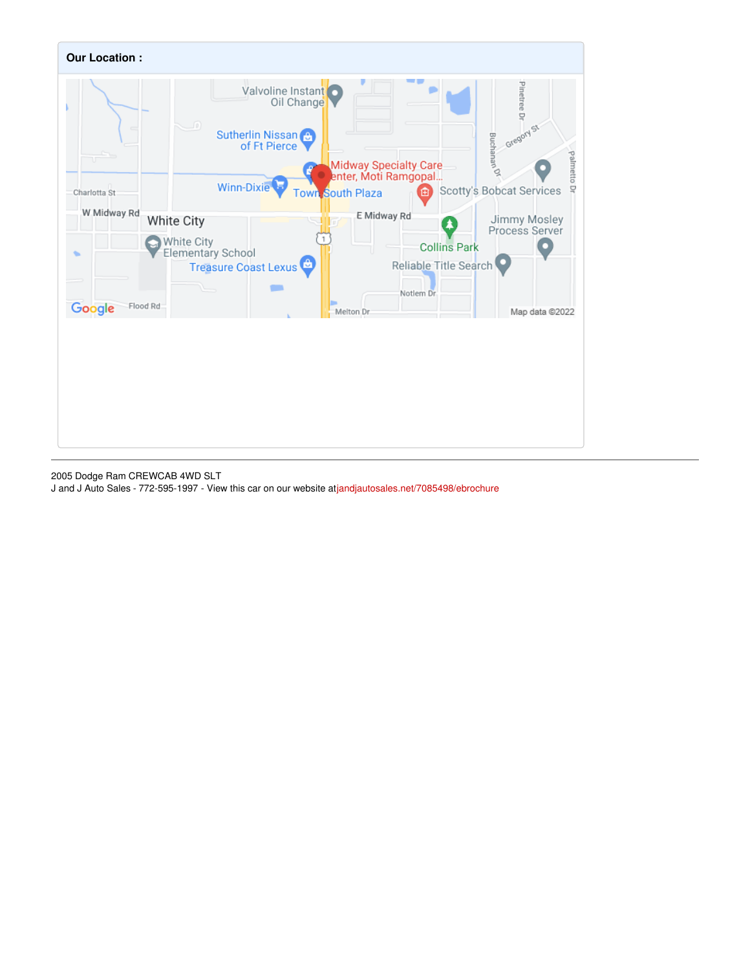

2005 Dodge Ram CREWCAB 4WD SLT

J and J Auto Sales - 772-595-1997 - View this car on our website at[jandjautosales.net/7085498/ebrochure](https://jandjautosales.net/vehicle/7085498/2005-dodge-ram-crewcab-4wd-slt-fort-pierce-fl-34982/7085498/ebrochure)